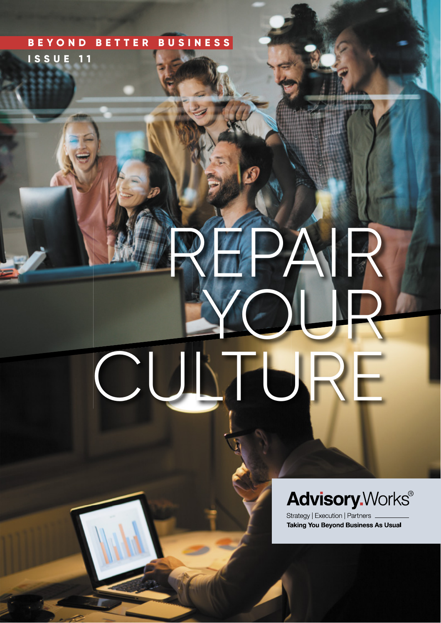### **B E Y O N D B E T T E R B U S I N E S S ISSUE 11**

# REPAIR YOUR CULTURE COM

## **Advisory. Works®**

Strategy | Execution | Partners **Taking You Beyond Business As Usual**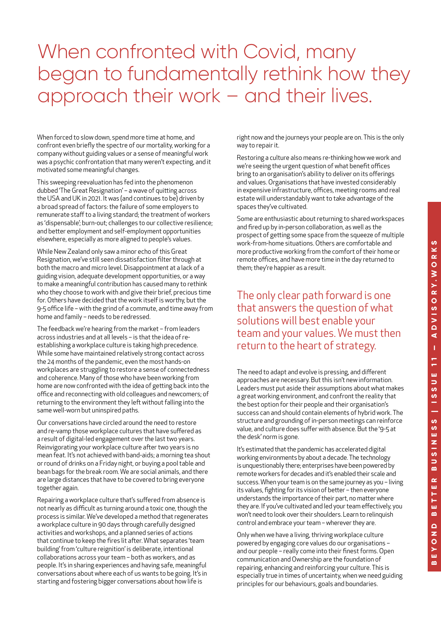## When confronted with Covid, many began to fundamentally rethink how they approach their work – and their lives.

When forced to slow down, spend more time at home, and confront even briefly the spectre of our mortality, working for a company without guiding values or a sense of meaningful work was a psychic confrontation that many weren't expecting, and it motivated some meaningful changes.

This sweeping reevaluation has fed into the phenomenon dubbed 'The Great Resignation' – a wave of quitting across the USA and UK in 2021. It was (and continues to be) driven by a broad spread of factors: the failure of some employers to remunerate staff to a living standard; the treatment of workers as 'dispensable'; burn-out; challenges to our collective resilience; and better employment and self-employment opportunities elsewhere, especially as more aligned to people's values.

While New Zealand only saw a minor echo of this Great Resignation, we've still seen dissatisfaction filter through at both the macro and micro level. Disappointment at a lack of a guiding vision, adequate development opportunities, or a way to make a meaningful contribution has caused many to rethink who they choose to work with and give their brief, precious time for. Others have decided that the work itself is worthy, but the 9-5 office life – with the grind of a commute, and time away from home and family – needs to be redressed.

The feedback we're hearing from the market – from leaders across industries and at all levels – is that the idea of reestablishing a workplace culture is taking high precedence. While some have maintained relatively strong contact across the 24 months of the pandemic, even the most hands-on workplaces are struggling to restore a sense of connectedness and coherence. Many of those who have been working from home are now confronted with the idea of getting back into the office and reconnecting with old colleagues and newcomers; of returning to the environment they left without falling into the same well-worn but uninspired paths.

Our conversations have circled around the need to restore and re-vamp those workplace cultures that have suffered as a result of digital-led engagement over the last two years. Reinvigorating your workplace culture after two years is no mean feat. It's not achieved with band-aids; a morning tea shout or round of drinks on a Friday night, or buying a pool table and bean bags for the break room. We are social animals, and there are large distances that have to be covered to bring everyone together again.

Repairing a workplace culture that's suffered from absence is not nearly as difficult as turning around a toxic one, though the process is similar. We've developed a method that regenerates a workplace culture in 90 days through carefully designed activities and workshops, and a planned series of actions that continue to keep the fires lit after. What separates 'team building' from 'culture reignition' is deliberate, intentional collaborations across your team – both as workers, and as people. It's in sharing experiences and having safe, meaningful conversations about where each of us wants to be going. It's in starting and fostering bigger conversations about how life is

right now and the journeys your people are on. This is the only way to repair it.

Restoring a culture also means re-thinking how we work and we're seeing the urgent question of what benefit offices bring to an organisation's ability to deliver on its offerings and values. Organisations that have invested considerably in expensive infrastructure, offices, meeting rooms and real estate will understandably want to take advantage of the spaces they've cultivated.

Some are enthusiastic about returning to shared workspaces and fired up by in-person collaboration, as well as the prospect of getting some space from the squeeze of multiple work-from-home situations. Others are comfortable and more productive working from the comfort of their home or remote offices, and have more time in the day returned to them; they're happier as a result.

The only clear path forward is one that answers the question of what solutions will best enable your team and your values. We must then return to the heart of strategy.

The need to adapt and evolve is pressing, and different approaches are necessary. But this isn't new information. Leaders must put aside their assumptions about what makes a great working environment, and confront the reality that the best option for their people and their organisation's success can and should contain elements of hybrid work. The structure and grounding of in-person meetings can reinforce value, and culture does suffer with absence. But the '9-5 at the desk' norm is gone.

It's estimated that the pandemic has accelerated digital working environments by about a decade. The technology is unquestionably there; enterprises have been powered by remote workers for decades and it's enabled their scale and success. When your team is on the same journey as you – living its values, fighting for its vision of better – then everyone understands the importance of their part, no matter where they are. If you've cultivated and led your team effectively, you won't need to look over their shoulders. Learn to relinquish control and embrace your team – wherever they are.

Only when we have a living, thriving workplace culture powered by engaging core values do our organisations – and our people – really come into their finest forms. Open communication and Ownership are the foundation of repairing, enhancing and reinforcing your culture. This is especially true in times of uncertainty, when we need guiding principles for our behaviours, goals and boundaries.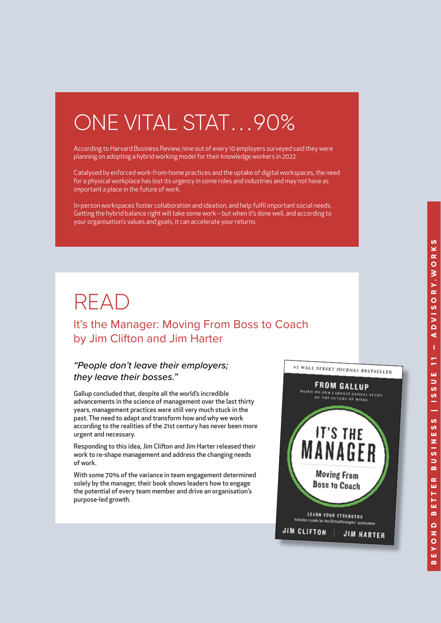## ONE VITAL STAT. . .90%

According to Harvard Business Review, nine out of every 10 employers surveyed said they were planning on adopting a hybrid working model for their knowledge workers in 2022.

Catalysed by enforced work-from-home practices and the uptake of digital workspaces, the need for a physical workplace has lost its urgency in some roles and industries and may not have as important a place in the future of work.

In-person workspaces foster collaboration and ideation, and help fulfi l important social needs. Getting the hybrid balance right will take some work - but when it's done well, and according to your organisation's values and goals, it can accelerate your returns.

## READ

It's the Manager: Moving From Boss to Coach by Jim Clifton and Jim Harter

#### *"People don't leave their employers; they leave their bosses."*

Gallup concluded that, despite all the world's incredible advancements in the science of management over the last thirty years, management practices were still very much stuck in the past. The need to adapt and transform how and why we work according to the realities of the 21st century has never been more urgent and necessary.

Responding to this idea, Jim Clifton and Jim Harter released their work to re-shape management and address the changing needs of work.

With some 70% of the variance in team engagement determined solely by the manager, their book shows leaders how to engage the potential of every team member and drive an organisation's purpose-led growth.

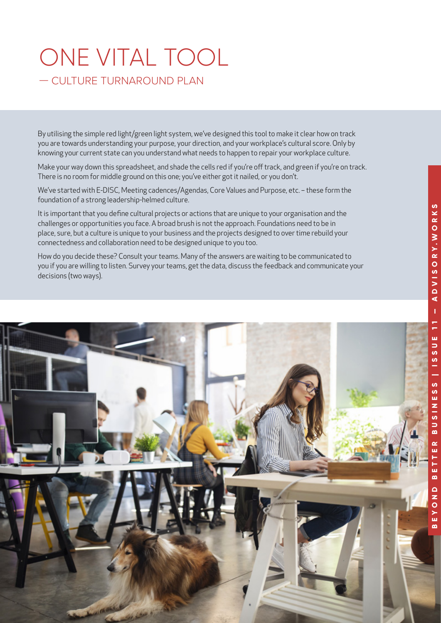## ONE VITAL TOOL — CULTURE TURNAROUND PLAN

By utilising the simple red light/green light system, we've designed this tool to make it clear how on track you are towards understanding your purpose, your direction, and your workplace's cultural score. Only by knowing your current state can you understand what needs to happen to repair your workplace culture.

Make your way down this spreadsheet, and shade the cells red if you're off track, and green if you're on track. There is no room for middle ground on this one; you've either got it nailed, or you don't.

We've started with E-DISC, Meeting cadences/Agendas, Core Values and Purpose, etc. – these form the foundation of a strong leadership-helmed culture.

It is important that you define cultural projects or actions that are unique to your organisation and the challenges or opportunities you face. A broad brush is not the approach. Foundations need to be in place, sure, but a culture is unique to your business and the projects designed to over time rebuild your connectedness and collaboration need to be designed unique to you too.

How do you decide these? Consult your teams. Many of the answers are waiting to be communicated to you if you are willing to listen. Survey your teams, get the data, discuss the feedback and communicate your decisions (two ways).

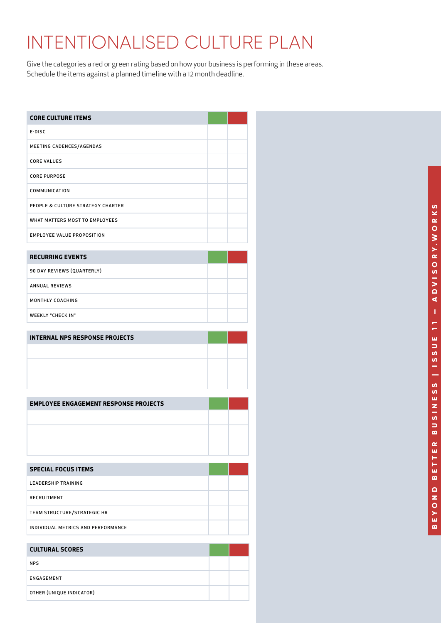## INTENTIONALISED CULTURE PLAN

Give the categories a red or green rating based on how your business is performing in these areas. Schedule the items against a planned timeline with a 12 month deadline.

| <b>CORE CULTURE ITEMS</b>         |  |
|-----------------------------------|--|
| $E-DISC$                          |  |
| MEETING CADENCES/AGENDAS          |  |
| <b>CORE VALUES</b>                |  |
| <b>CORE PURPOSE</b>               |  |
| COMMUNICATION                     |  |
| PEOPLE & CULTURE STRATEGY CHARTER |  |
| WHAT MATTERS MOST TO EMPLOYEES    |  |
| <b>EMPLOYEE VALUE PROPOSITION</b> |  |

| <b>RECURRING EVENTS</b>    |  |
|----------------------------|--|
| 90 DAY REVIEWS (QUARTERLY) |  |
| <b>ANNUAL REVIEWS</b>      |  |
| MONTHLY COACHING           |  |
| <b>WEEKLY "CHECK IN"</b>   |  |

| <b>INTERNAL NPS RESPONSE PROJECTS</b> |  |
|---------------------------------------|--|
|                                       |  |
|                                       |  |
|                                       |  |

| <b>EMPLOYEE ENGAGEMENT RESPONSE PROJECTS</b> |  |
|----------------------------------------------|--|
|                                              |  |
|                                              |  |
|                                              |  |

| <b>SPECIAL FOCUS ITEMS</b>         |  |
|------------------------------------|--|
| <b>LEADERSHIP TRAINING</b>         |  |
| <b>RECRUITMENT</b>                 |  |
| TEAM STRUCTURE/STRATEGIC HR        |  |
| INDIVIDUAL METRICS AND PERFORMANCE |  |

| <b>CULTURAL SCORES</b>   |  |
|--------------------------|--|
| <b>NPS</b>               |  |
| ENGAGEMENT               |  |
| OTHER (UNIQUE INDICATOR) |  |